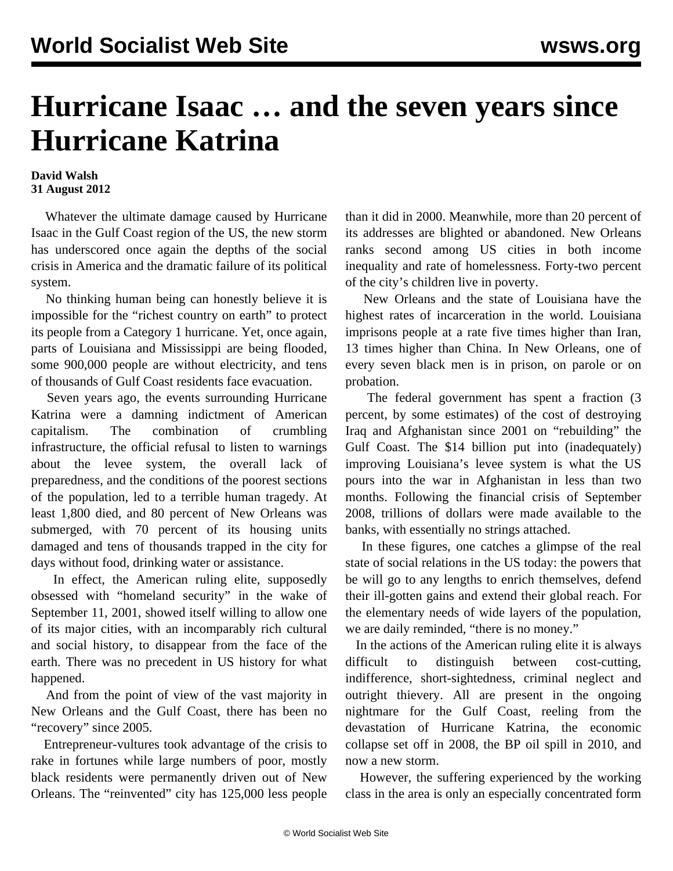## **Hurricane Isaac … and the seven years since Hurricane Katrina**

## **David Walsh 31 August 2012**

 Whatever the ultimate damage caused by Hurricane Isaac in the Gulf Coast region of the US, the new storm has underscored once again the depths of the social crisis in America and the dramatic failure of its political system.

 No thinking human being can honestly believe it is impossible for the "richest country on earth" to protect its people from a Category 1 hurricane. Yet, once again, parts of Louisiana and Mississippi are being flooded, some 900,000 people are without electricity, and tens of thousands of Gulf Coast residents face evacuation.

 Seven years ago, the events surrounding Hurricane Katrina were a damning indictment of American capitalism. The combination of crumbling infrastructure, the official refusal to listen to warnings about the levee system, the overall lack of preparedness, and the conditions of the poorest sections of the population, led to a terrible human tragedy. At least 1,800 died, and 80 percent of New Orleans was submerged, with 70 percent of its housing units damaged and tens of thousands trapped in the city for days without food, drinking water or assistance.

 In effect, the American ruling elite, supposedly obsessed with "homeland security" in the wake of September 11, 2001, showed itself willing to allow one of its major cities, with an incomparably rich cultural and social history, to disappear from the face of the earth. There was no precedent in US history for what happened.

 And from the point of view of the vast majority in New Orleans and the Gulf Coast, there has been no "recovery" since 2005.

 Entrepreneur-vultures took advantage of the crisis to rake in fortunes while large numbers of poor, mostly black residents were permanently driven out of New Orleans. The "reinvented" city has 125,000 less people than it did in 2000. Meanwhile, more than 20 percent of its addresses are blighted or abandoned. New Orleans ranks second among US cities in both income inequality and rate of homelessness. Forty-two percent of the city's children live in poverty.

 New Orleans and the state of Louisiana have the highest rates of incarceration in the world. Louisiana imprisons people at a rate five times higher than Iran, 13 times higher than China. In New Orleans, one of every seven black men is in prison, on parole or on probation.

 The federal government has spent a fraction (3 percent, by some estimates) of the cost of destroying Iraq and Afghanistan since 2001 on "rebuilding" the Gulf Coast. The \$14 billion put into (inadequately) improving Louisiana's levee system is what the US pours into the war in Afghanistan in less than two months. Following the financial crisis of September 2008, trillions of dollars were made available to the banks, with essentially no strings attached.

 In these figures, one catches a glimpse of the real state of social relations in the US today: the powers that be will go to any lengths to enrich themselves, defend their ill-gotten gains and extend their global reach. For the elementary needs of wide layers of the population, we are daily reminded, "there is no money."

 In the actions of the American ruling elite it is always difficult to distinguish between cost-cutting, indifference, short-sightedness, criminal neglect and outright thievery. All are present in the ongoing nightmare for the Gulf Coast, reeling from the devastation of Hurricane Katrina, the economic collapse set off in 2008, the BP oil spill in 2010, and now a new storm.

 However, the suffering experienced by the working class in the area is only an especially concentrated form